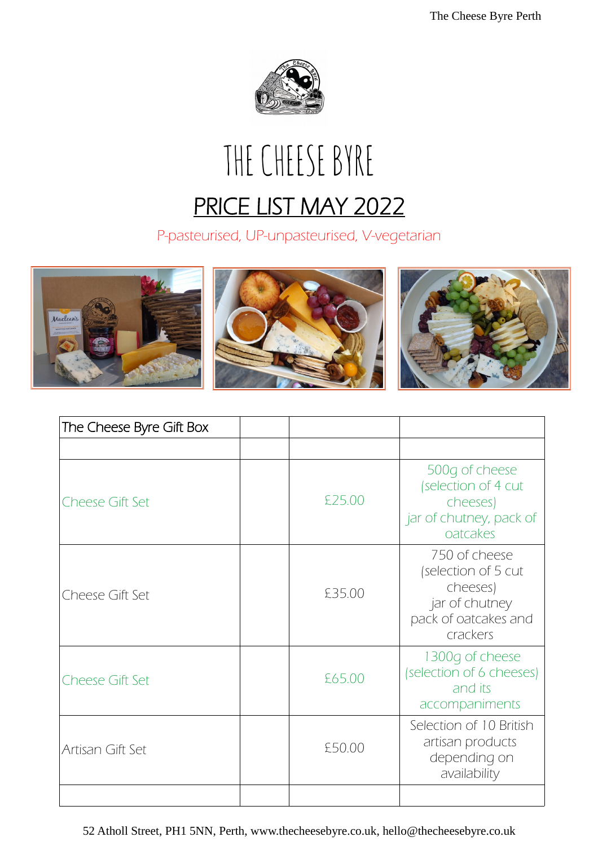

# THE CHEESE BYRE PRICE LIST MAY 2022

P-pasteurised, UP-unpasteurised, V-vegetarian



| The Cheese Byre Gift Box |        |                                                                                                        |
|--------------------------|--------|--------------------------------------------------------------------------------------------------------|
|                          |        |                                                                                                        |
| <b>Cheese Gift Set</b>   | £25.00 | 500g of cheese<br>(selection of 4 cut<br>cheeses)<br>jar of chutney, pack of<br>oatcakes               |
| Cheese Gift Set          | £35.00 | 750 of cheese<br>(selection of 5 cut<br>cheeses)<br>jar of chutney<br>pack of oatcakes and<br>crackers |
| <b>Cheese Gift Set</b>   | £65.00 | 1300g of cheese<br>(selection of 6 cheeses)<br>and its<br>accompaniments                               |
| Artisan Gift Set         | £50.00 | Selection of 10 British<br>artisan products<br>depending on<br>availability                            |
|                          |        |                                                                                                        |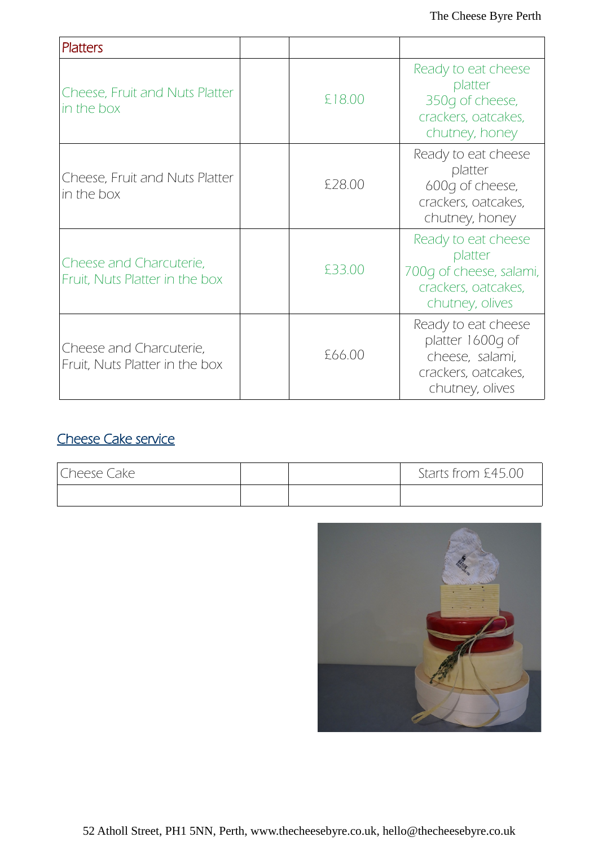| <b>Platters</b>                                           |        |                                                                                                      |
|-----------------------------------------------------------|--------|------------------------------------------------------------------------------------------------------|
| <b>Cheese, Fruit and Nuts Platter</b><br>in the box       | £18.00 | Ready to eat cheese<br>platter<br>350g of cheese,<br>crackers, oatcakes,<br>chutney, honey           |
| Cheese, Fruit and Nuts Platter<br>in the box              | £28.00 | Ready to eat cheese<br>platter<br>600g of cheese,<br>crackers, oatcakes,<br>chutney, honey           |
| Cheese and Charcuterie,<br>Fruit, Nuts Platter in the box | £33.00 | Ready to eat cheese<br>platter<br>700q of cheese, salami,<br>crackers, oatcakes,<br>chutney, olives  |
| Cheese and Charcuterie,<br>Fruit, Nuts Platter in the box | £66.00 | Ready to eat cheese<br>platter 1600g of<br>cheese, salami,<br>crackers, oatcakes,<br>chutney, olives |

# Cheese Cake service

| Cheese Cake |  | Starts from £45.00 |
|-------------|--|--------------------|
|             |  |                    |

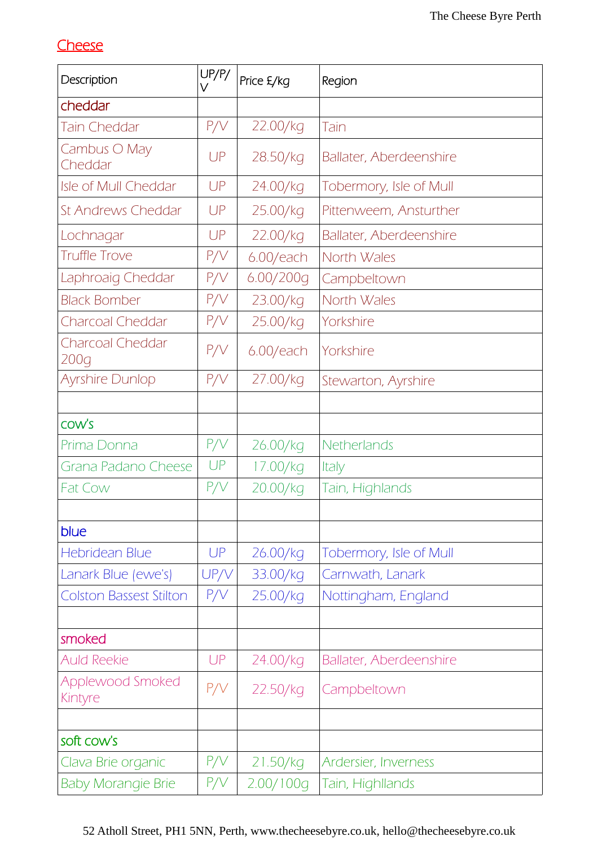## **Cheese**

| Description                     | UP/P/<br>$\vee$ | Price £/kg | Region                         |
|---------------------------------|-----------------|------------|--------------------------------|
| cheddar                         |                 |            |                                |
| <b>Tain Cheddar</b>             | P/V             | 22.00/kg   | Tain                           |
| Cambus O May<br>Cheddar         | UP              | 28.50/kg   | <b>Ballater, Aberdeenshire</b> |
| <b>Isle of Mull Cheddar</b>     | UP              | 24.00/kg   | Tobermory, Isle of Mull        |
| <b>St Andrews Cheddar</b>       | UP              | 25.00/kg   | Pittenweem, Ansturther         |
| Lochnagar                       | UP              | 22.00/kg   | <b>Ballater, Aberdeenshire</b> |
| <b>Truffle Trove</b>            | P/V             | 6.00/each  | North Wales                    |
| Laphroaig Cheddar               | P/V             | 6.00/200g  | Campbeltown                    |
| <b>Black Bomber</b>             | P/V             | 23.00/kg   | North Wales                    |
| Charcoal Cheddar                | P/V             | 25.00/kg   | Yorkshire                      |
| <b>Charcoal Cheddar</b><br>200g | P/V             | 6.00/each  | Yorkshire                      |
| <b>Ayrshire Dunlop</b>          | P/V             | 27.00/kg   | Stewarton, Ayrshire            |
|                                 |                 |            |                                |
| COW'S                           |                 |            |                                |
| Prima Donna                     | P/V             | 26.00/kg   | Netherlands                    |
| Grana Padano Cheese             | UP              | 17.00/kg   | Italy                          |
| <b>Fat Cow</b>                  | P/V             | 20.00/kg   | Tain, Highlands                |
|                                 |                 |            |                                |
| blue                            |                 |            |                                |
| <b>Hebridean Blue</b>           | UP              | 26.00/kg   | Tobermory, Isle of Mull        |
| Lanark Blue (ewe's)             | UP/V            | 33.00/kg   | Carnwath, Lanark               |
| <b>Colston Bassest Stilton</b>  | P/V             | 25.00/kg   | Nottingham, England            |
| smoked                          |                 |            |                                |
| <b>Auld Reekie</b>              | UP              | 24.00/kg   | <b>Ballater, Aberdeenshire</b> |
| Applewood Smoked<br>Kintyre     | P/V             | 22.50/kg   | Campbeltown                    |
|                                 |                 |            |                                |
| soft cow's                      |                 |            |                                |
| Clava Brie organic              | P/V             | 21.50/kg   | Ardersier, Inverness           |
| <b>Baby Morangie Brie</b>       | P/V             | 2.00/100g  | Tain, Highllands               |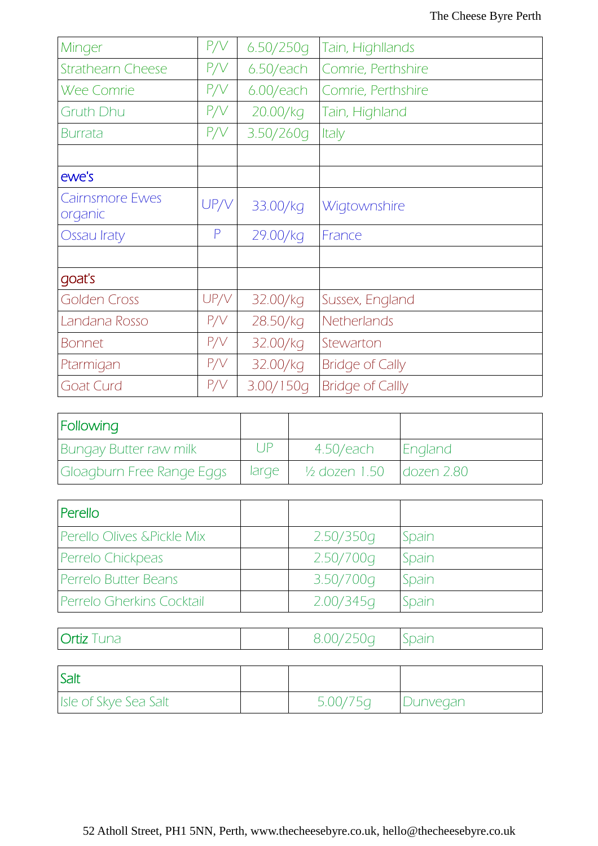| Minger                            | P/V          | 6.50/250q    | Tain, Highllands        |
|-----------------------------------|--------------|--------------|-------------------------|
| <b>Strathearn Cheese</b>          | P/V          | $6.50$ /each | Comrie, Perthshire      |
| <b>Wee Comrie</b>                 | P/V          | 6.00/each    | Comrie, Perthshire      |
| <b>Gruth Dhu</b>                  | P/V          | 20.00/kg     | Tain, Highland          |
| Burrata                           | P/V          | 3.50/260g    | Italy                   |
|                                   |              |              |                         |
| ewe's                             |              |              |                         |
| <b>Cairnsmore Ewes</b><br>organic | UP/V         | 33.00/kg     | Wigtownshire            |
| <b>Ossau Iraty</b>                | $\mathsf{P}$ | 29.00/kg     | France                  |
|                                   |              |              |                         |
| qoat's                            |              |              |                         |
| Golden Cross                      | UP/V         | 32.00/kg     | Sussex, England         |
| Landana Rosso                     | P/V          | 28.50/kg     | Netherlands             |
| <b>Bonnet</b>                     | P/V          | 32.00/kg     | Stewarton               |
| Ptarmigan                         | P/V          | 32.00/kg     | <b>Bridge of Cally</b>  |
| Goat Curd                         | P/V          | 3.00/150q    | <b>Bridge of Callly</b> |

| Following                     |           |                                        |                |
|-------------------------------|-----------|----------------------------------------|----------------|
| <b>Bungay Butter raw milk</b> | $\Box$ IP | 4.50/each                              | <b>England</b> |
| Gloagburn Free Range Eggs     | large     | $1/2$ dozen 1.50 $\sqrt{1}$ dozen 2.80 |                |

| Perello                    |           |       |
|----------------------------|-----------|-------|
| Perello Olives &Pickle Mix | 2.50/350g | Spain |
| Perrelo Chickpeas          | 2.50/700g | Spain |
| Perrelo Butter Beans       | 3.50/700g | Spain |
| Perrelo Gherkins Cocktail  | 2.00/345q | Spain |

| --- |  |  |
|-----|--|--|
|-----|--|--|

| <b>Salt</b>           |          |                 |
|-----------------------|----------|-----------------|
| Isle of Skye Sea Salt | 5.00/75q | <i>Dunveqan</i> |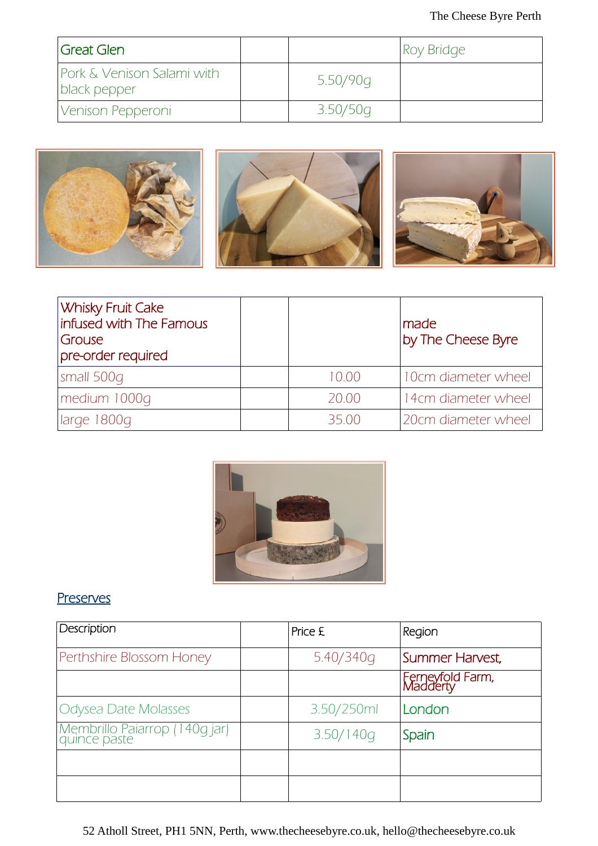| <i><b>Sreat Glen</b></i>                   |          | Roy Bridge |
|--------------------------------------------|----------|------------|
| Pork & Venison Salami with<br>black pepper | 5.50/90g |            |
| Venison Pepperoni                          | 3.50/50q |            |



| <b>Whisky Fruit Cake</b><br>infused with The Famous<br>Grouse<br>pre-order required |       | made<br>by The Cheese Byre |
|-------------------------------------------------------------------------------------|-------|----------------------------|
| small 500g                                                                          | 10.00 | 10cm diameter wheel        |
| medium 1000q                                                                        | 20.00 | 14cm diameter wheel        |
| large 1800g                                                                         | 35.00 | 20cm diameter wheel        |



## **Preserves**

| Description                                     | Price £    | Region                       |
|-------------------------------------------------|------------|------------------------------|
| Perthshire Blossom Honey                        | 5.40/340g  | Summer Harvest,              |
|                                                 |            | Ferneyfold Farm,<br>Madderty |
| Odysea Date Molasses                            | 3.50/250ml | London                       |
| Membrillo Paiarrop (140g jar)<br>  quince paste | 3.50/140q  | Spain                        |
|                                                 |            |                              |
|                                                 |            |                              |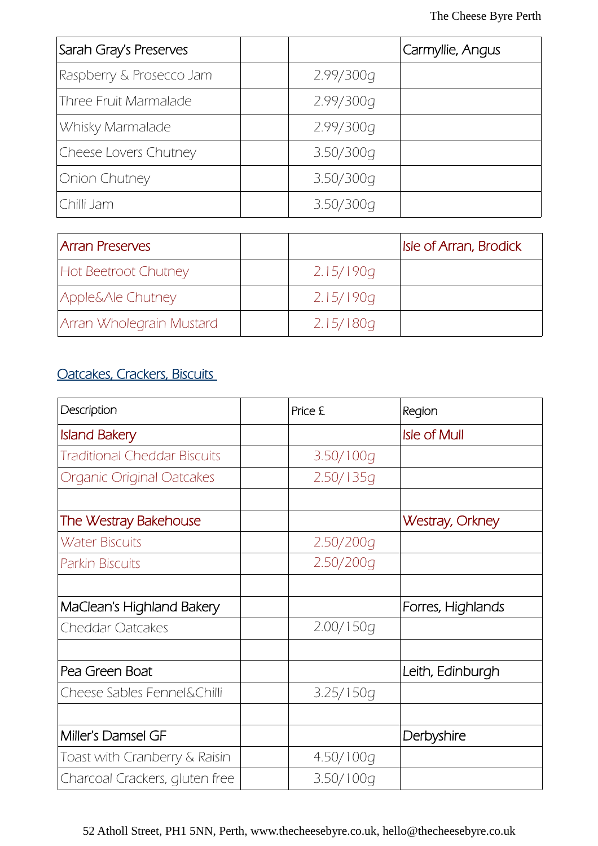| Sarah Gray's Preserves   |           | Carmyllie, Angus |
|--------------------------|-----------|------------------|
| Raspberry & Prosecco Jam | 2.99/300g |                  |
| Three Fruit Marmalade    | 2.99/300g |                  |
| Whisky Marmalade         | 2.99/300g |                  |
| Cheese Lovers Chutney    | 3.50/300q |                  |
| Onion Chutney            | 3.50/300q |                  |
| Chilli Jam               | 3.50/300g |                  |

| <b>Arran Preserves</b>      |           | <b>Isle of Arran, Brodick</b> |
|-----------------------------|-----------|-------------------------------|
| <b>Hot Beetroot Chutney</b> | 2.15/190g |                               |
| Apple&Ale Chutney           | 2.15/190q |                               |
| Arran Wholegrain Mustard    | 2.15/180q |                               |

## Oatcakes, Crackers, Biscuits

| Description                         | Price £   | Region                 |
|-------------------------------------|-----------|------------------------|
| <b>Island Bakery</b>                |           | <b>Isle of Mull</b>    |
| <b>Traditional Cheddar Biscuits</b> | 3.50/100q |                        |
| Organic Original Oatcakes           | 2.50/135q |                        |
|                                     |           |                        |
| The Westray Bakehouse               |           | <b>Westray, Orkney</b> |
| <b>Water Biscuits</b>               | 2.50/200g |                        |
| <b>Parkin Biscuits</b>              | 2.50/200g |                        |
|                                     |           |                        |
| MaClean's Highland Bakery           |           | Forres, Highlands      |
| <b>Cheddar Oatcakes</b>             | 2.00/150q |                        |
|                                     |           |                        |
| Pea Green Boat                      |           | Leith, Edinburgh       |
| Cheese Sables Fennel&Chilli         | 3.25/150q |                        |
|                                     |           |                        |
| Miller's Damsel GF                  |           | Derbyshire             |
| Toast with Cranberry & Raisin       | 4.50/100g |                        |
| Charcoal Crackers, gluten free      | 3.50/100g |                        |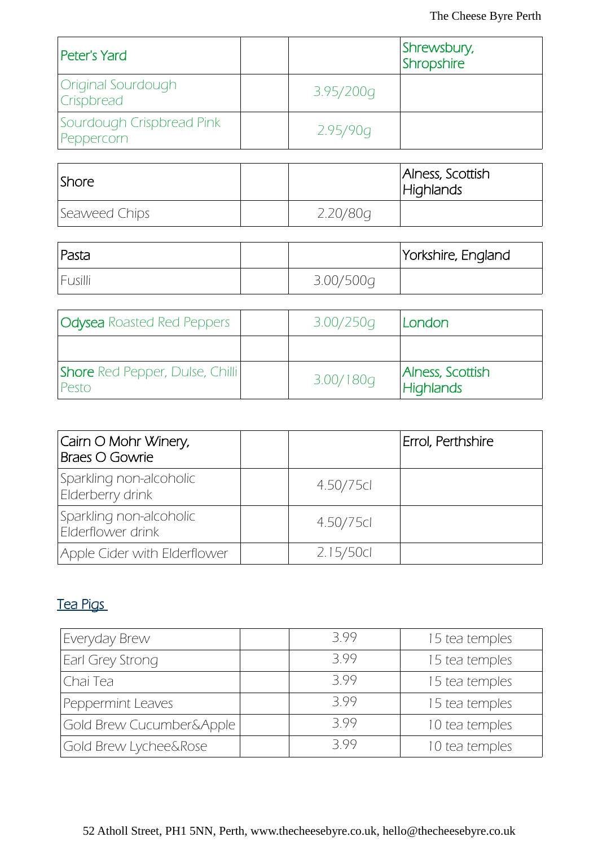| Peter's Yard                            |           | Shrewsbury,<br>Shropshire |
|-----------------------------------------|-----------|---------------------------|
| Original Sourdough<br><b>Crispbread</b> | 3.95/200g |                           |
| Sourdough Crispbread Pink<br>Peppercorn | 2.95/90g  |                           |

| <i><b>Shore</b></i> |          | Alness, Scottish<br>Highlands |
|---------------------|----------|-------------------------------|
| Seaweed Chips       | 2.20/80g |                               |

| Pasta   |           | Yorkshire, England |
|---------|-----------|--------------------|
| Fusilli | 3.00/500g |                    |

| <b>Odysea</b> Roasted Red Peppers               | 3.00/250q | London                               |
|-------------------------------------------------|-----------|--------------------------------------|
|                                                 |           |                                      |
| <b>Shore</b> Red Pepper, Dulse, Chilli<br>Pesto | 3.00/180q | Alness, Scottish<br><b>Highlands</b> |

| Cairn O Mohr Winery,<br>Braes O Gowrie       |           | Errol, Perthshire |
|----------------------------------------------|-----------|-------------------|
| Sparkling non-alcoholic<br>Elderberry drink  | 4.50/75cl |                   |
| Sparkling non-alcoholic<br>Elderflower drink | 4.50/75cl |                   |
| Apple Cider with Elderflower                 | 2.15/50cl |                   |

# Tea Pigs

| Everyday Brew            | 399 | 15 tea temples |
|--------------------------|-----|----------------|
| Earl Grey Strong         | 399 | 15 tea temples |
| Chai Tea                 | 399 | 15 tea temples |
| Peppermint Leaves        | 399 | 15 tea temples |
| Gold Brew Cucumber&Apple | 399 | 10 tea temples |
| Gold Brew Lychee&Rose    | 399 | 10 tea temples |